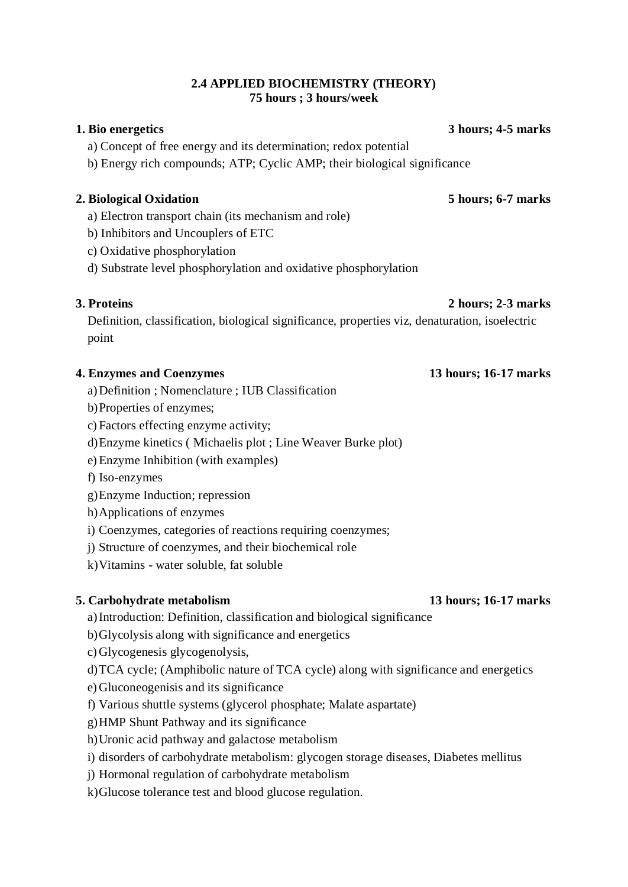## **2.4 APPLIED BIOCHEMISTRY (THEORY) 75 hours ; 3 hours/week**

a) Concept of free energy and its determination; redox potential

b) Energy rich compounds; ATP; Cyclic AMP; their biological significance

# **2. Biological Oxidation 5 hours; 6-7 marks**

- a) Electron transport chain (its mechanism and role)
- b) Inhibitors and Uncouplers of ETC
- c) Oxidative phosphorylation
- d) Substrate level phosphorylation and oxidative phosphorylation

# **3. Proteins 2 hours; 2-3 marks**

Definition, classification, biological significance, properties viz, denaturation, isoelectric point

## **4. Enzymes and Coenzymes 13 hours; 16-17 marks**

- a)Definition ; Nomenclature ; IUB Classification
- b)Properties of enzymes;
- c) Factors effecting enzyme activity;
- d)Enzyme kinetics ( Michaelis plot ; Line Weaver Burke plot)
- e)Enzyme Inhibition (with examples)
- f) Iso-enzymes
- g)Enzyme Induction; repression
- h)Applications of enzymes
- i) Coenzymes, categories of reactions requiring coenzymes;
- j) Structure of coenzymes, and their biochemical role
- k)Vitamins water soluble, fat soluble

## **5. Carbohydrate metabolism 13 hours; 16-17 marks**

- a)Introduction: Definition, classification and biological significance
- b)Glycolysis along with significance and energetics
- c) Glycogenesis glycogenolysis,
- d)TCA cycle; (Amphibolic nature of TCA cycle) along with significance and energetics
- e) Gluconeogenisis and its significance
- f) Various shuttle systems (glycerol phosphate; Malate aspartate)
- g)HMP Shunt Pathway and its significance
- h)Uronic acid pathway and galactose metabolism
- i) disorders of carbohydrate metabolism: glycogen storage diseases, Diabetes mellitus
- j) Hormonal regulation of carbohydrate metabolism
- k)Glucose tolerance test and blood glucose regulation.

**1. Bio energetics 3 hours; 4-5 marks**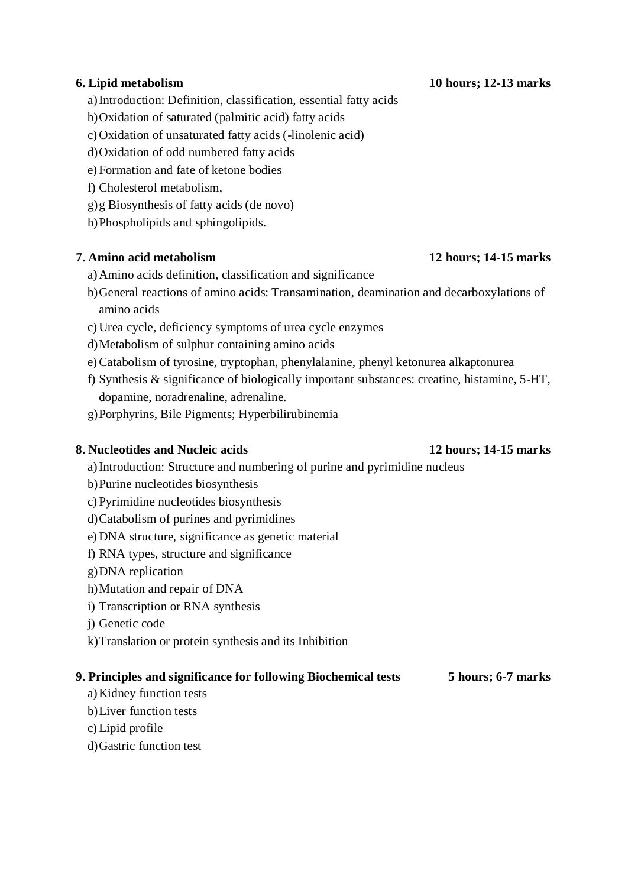## **6. Lipid metabolism 10 hours; 12-13 marks**

- a)Introduction: Definition, classification, essential fatty acids
- b)Oxidation of saturated (palmitic acid) fatty acids
- c) Oxidation of unsaturated fatty acids (-linolenic acid) 4
- d)Oxidation of odd numbered fatty acids
- e) Formation and fate of ketone bodies
- f) Cholesterol metabolism,
- g)g Biosynthesis of fatty acids (de novo)
- h)Phospholipids and sphingolipids.

## **7. Amino acid metabolism 12 hours; 14-15 marks**

- a)Amino acids definition, classification and significance
- b)General reactions of amino acids: Transamination, deamination and decarboxylations of amino acids
- c) Urea cycle, deficiency symptoms of urea cycle enzymes
- d)Metabolism of sulphur containing amino acids
- e)Catabolism of tyrosine, tryptophan, phenylalanine, phenyl ketonurea alkaptonurea
- f) Synthesis & significance of biologically important substances: creatine, histamine, 5-HT, dopamine, noradrenaline, adrenaline.
- g)Porphyrins, Bile Pigments; Hyperbilirubinemia

## **8. Nucleotides and Nucleic acids 12 hours; 14-15 marks**

- a)Introduction: Structure and numbering of purine and pyrimidine nucleus
- b)Purine nucleotides biosynthesis
- c) Pyrimidine nucleotides biosynthesis
- d)Catabolism of purines and pyrimidines
- e) DNA structure, significance as genetic material
- f) RNA types, structure and significance
- g)DNA replication
- h)Mutation and repair of DNA
- i) Transcription or RNA synthesis
- j) Genetic code
- k)Translation or protein synthesis and its Inhibition

### **9. Principles and significance for following Biochemical tests 5 hours; 6-7 marks**

- a)Kidney function tests
- b)Liver function tests
- c)Lipid profile
- d)Gastric function test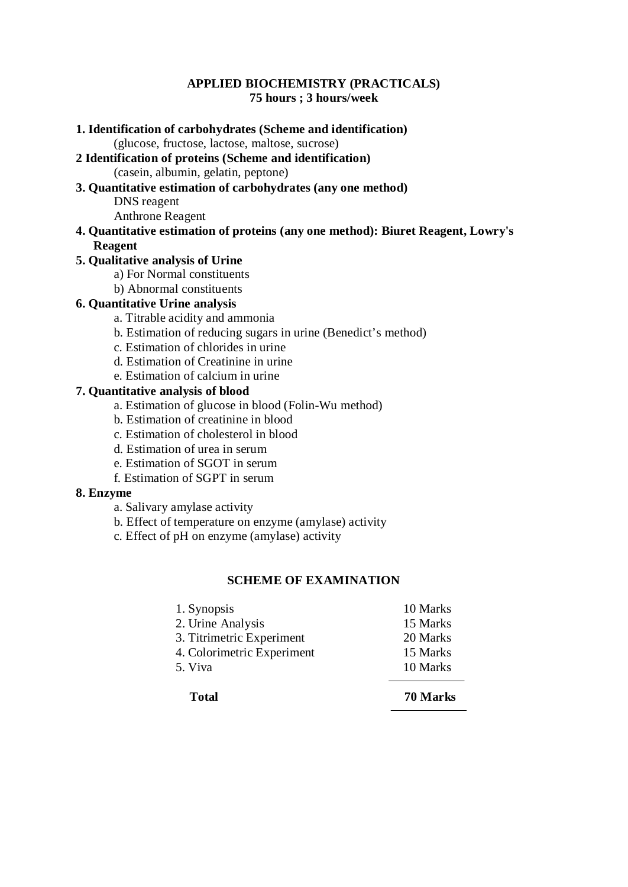## **APPLIED BIOCHEMISTRY (PRACTICALS) 75 hours ; 3 hours/week**

| 1. Identification of carbohydrates (Scheme and identification)                   |
|----------------------------------------------------------------------------------|
| (glucose, fructose, lactose, maltose, sucrose)                                   |
| 2 Identification of proteins (Scheme and identification)                         |
| (casein, albumin, gelatin, peptone)                                              |
| 3. Quantitative estimation of carbohydrates (any one method)                     |
| DNS reagent                                                                      |
| <b>Anthrone Reagent</b>                                                          |
| 4. Quantitative estimation of proteins (any one method): Biuret Reagent, Lowry's |
| <b>Reagent</b>                                                                   |
| 5. Qualitative analysis of Urine                                                 |
| a) For Normal constituents                                                       |
| b) Abnormal constituents                                                         |
| <b>6. Quantitative Urine analysis</b>                                            |
| a. Titrable acidity and ammonia                                                  |
| b. Estimation of reducing sugars in urine (Benedict's method)                    |

- c. Estimation of chlorides in urine
- d. Estimation of Creatinine in urine
- e. Estimation of calcium in urine

### **7. Quantitative analysis of blood**

- a. Estimation of glucose in blood (Folin-Wu method)
- b. Estimation of creatinine in blood
- c. Estimation of cholesterol in blood
- d. Estimation of urea in serum
- e. Estimation of SGOT in serum
- f. Estimation of SGPT in serum

### **8. Enzyme**

- a. Salivary amylase activity
- b. Effect of temperature on enzyme (amylase) activity
- c. Effect of pH on enzyme (amylase) activity

### **SCHEME OF EXAMINATION**

| <b>Total</b>               | 70 Marks |
|----------------------------|----------|
| 5. Viva                    | 10 Marks |
| 4. Colorimetric Experiment | 15 Marks |
| 3. Titrimetric Experiment  | 20 Marks |
| 2. Urine Analysis          | 15 Marks |
| 1. Synopsis                | 10 Marks |